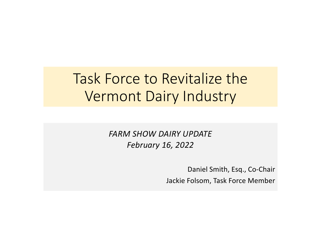# Task Force to Revitalize the Vermont Dairy Industry

*FARM SHOW DAIRY UPDATE February 16, 2022*

> Daniel Smith, Esq., Co-Chair Jackie Folsom, Task Force Member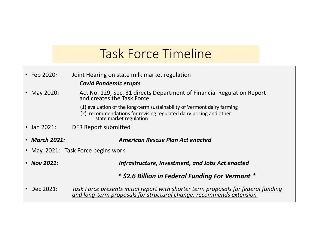## Task Force Timeline

| $\cdot$ Feb 2020:<br>Joint Hearing on state milk market regulation |                                                                                                                                                                          |  |
|--------------------------------------------------------------------|--------------------------------------------------------------------------------------------------------------------------------------------------------------------------|--|
|                                                                    | <b>Covid Pandemic erupts</b>                                                                                                                                             |  |
| • May 2020:                                                        | Act No. 129, Sec. 31 directs Department of Financial Regulation Report<br>and creates the Task Force                                                                     |  |
|                                                                    | (1) evaluation of the long-term sustainability of Vermont dairy farming<br>(2) recommendations for revising regulated dairy pricing and other<br>state market regulation |  |
| $\cdot$ Jan 2021:                                                  | DFR Report submitted                                                                                                                                                     |  |
|                                                                    |                                                                                                                                                                          |  |
| • March 2021:                                                      | <b>American Rescue Plan Act enacted</b>                                                                                                                                  |  |
|                                                                    | • May, 2021: Task Force begins work                                                                                                                                      |  |
| $\cdot$ Nov 2021:                                                  | Infrastructure, Investment, and Jobs Act enacted                                                                                                                         |  |
|                                                                    | * \$2.6 Billion in Federal Funding For Vermont *                                                                                                                         |  |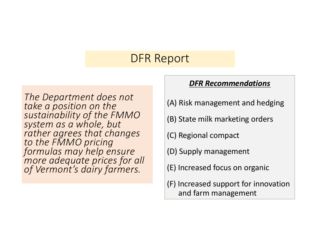### DFR Report

*The Department does not take a position on the sustainability of the FMMO system as a whole, but rather agrees that changes to the FMMO pricing formulas may help ensure more adequate prices for all of Vermont's dairy farmers.* 

#### *DFR Recommendations*

- (A) Risk management and hedging
- (B) State milk marketing orders
- (C) Regional compact
- (D) Supply management
- (E) Increased focus on organic
- (F) Increased support for innovation and farm management